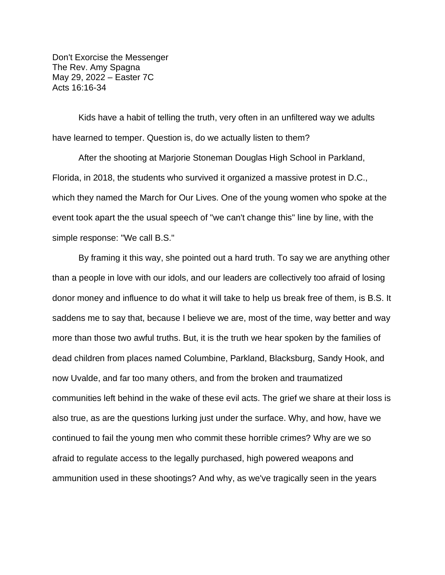Don't Exorcise the Messenger The Rev. Amy Spagna May 29, 2022 – Easter 7C Acts 16:16-34

Kids have a habit of telling the truth, very often in an unfiltered way we adults have learned to temper. Question is, do we actually listen to them?

After the shooting at Marjorie Stoneman Douglas High School in Parkland, Florida, in 2018, the students who survived it organized a massive protest in D.C., which they named the March for Our Lives. One of the young women who spoke at the event took apart the the usual speech of "we can't change this" line by line, with the simple response: "We call B.S."

By framing it this way, she pointed out a hard truth. To say we are anything other than a people in love with our idols, and our leaders are collectively too afraid of losing donor money and influence to do what it will take to help us break free of them, is B.S. It saddens me to say that, because I believe we are, most of the time, way better and way more than those two awful truths. But, it is the truth we hear spoken by the families of dead children from places named Columbine, Parkland, Blacksburg, Sandy Hook, and now Uvalde, and far too many others, and from the broken and traumatized communities left behind in the wake of these evil acts. The grief we share at their loss is also true, as are the questions lurking just under the surface. Why, and how, have we continued to fail the young men who commit these horrible crimes? Why are we so afraid to regulate access to the legally purchased, high powered weapons and ammunition used in these shootings? And why, as we've tragically seen in the years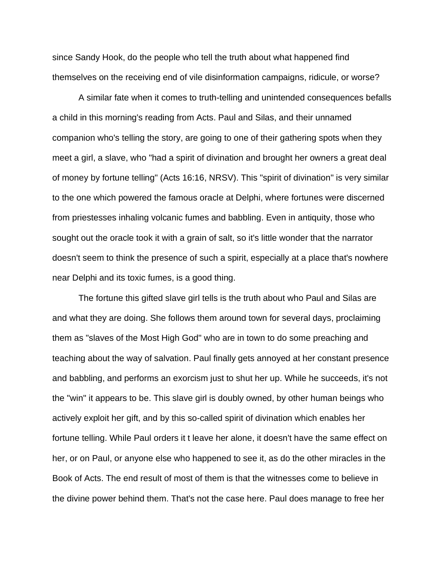since Sandy Hook, do the people who tell the truth about what happened find themselves on the receiving end of vile disinformation campaigns, ridicule, or worse?

A similar fate when it comes to truth-telling and unintended consequences befalls a child in this morning's reading from Acts. Paul and Silas, and their unnamed companion who's telling the story, are going to one of their gathering spots when they meet a girl, a slave, who "had a spirit of divination and brought her owners a great deal of money by fortune telling" (Acts 16:16, NRSV). This "spirit of divination" is very similar to the one which powered the famous oracle at Delphi, where fortunes were discerned from priestesses inhaling volcanic fumes and babbling. Even in antiquity, those who sought out the oracle took it with a grain of salt, so it's little wonder that the narrator doesn't seem to think the presence of such a spirit, especially at a place that's nowhere near Delphi and its toxic fumes, is a good thing.

The fortune this gifted slave girl tells is the truth about who Paul and Silas are and what they are doing. She follows them around town for several days, proclaiming them as "slaves of the Most High God" who are in town to do some preaching and teaching about the way of salvation. Paul finally gets annoyed at her constant presence and babbling, and performs an exorcism just to shut her up. While he succeeds, it's not the "win" it appears to be. This slave girl is doubly owned, by other human beings who actively exploit her gift, and by this so-called spirit of divination which enables her fortune telling. While Paul orders it t leave her alone, it doesn't have the same effect on her, or on Paul, or anyone else who happened to see it, as do the other miracles in the Book of Acts. The end result of most of them is that the witnesses come to believe in the divine power behind them. That's not the case here. Paul does manage to free her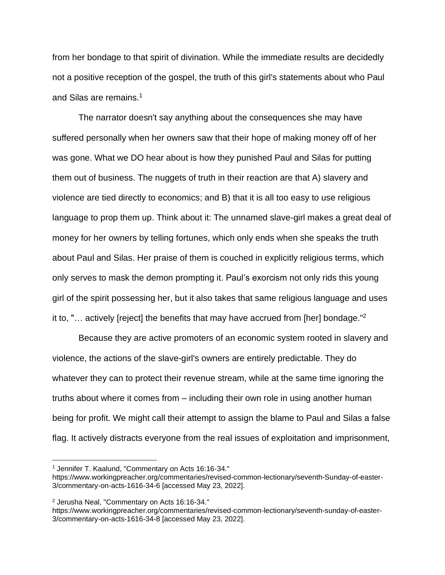from her bondage to that spirit of divination. While the immediate results are decidedly not a positive reception of the gospel, the truth of this girl's statements about who Paul and Silas are remains.<sup>1</sup>

The narrator doesn't say anything about the consequences she may have suffered personally when her owners saw that their hope of making money off of her was gone. What we DO hear about is how they punished Paul and Silas for putting them out of business. The nuggets of truth in their reaction are that A) slavery and violence are tied directly to economics; and B) that it is all too easy to use religious language to prop them up. Think about it: The unnamed slave-girl makes a great deal of money for her owners by telling fortunes, which only ends when she speaks the truth about Paul and Silas. Her praise of them is couched in explicitly religious terms, which only serves to mask the demon prompting it. Paul's exorcism not only rids this young girl of the spirit possessing her, but it also takes that same religious language and uses it to, "... actively [reject] the benefits that may have accrued from [her] bondage."<sup>2</sup>

Because they are active promoters of an economic system rooted in slavery and violence, the actions of the slave-girl's owners are entirely predictable. They do whatever they can to protect their revenue stream, while at the same time ignoring the truths about where it comes from – including their own role in using another human being for profit. We might call their attempt to assign the blame to Paul and Silas a false flag. It actively distracts everyone from the real issues of exploitation and imprisonment,

<sup>1</sup> Jennifer T. Kaalund, "Commentary on Acts 16:16-34."

https://www.workingpreacher.org/commentaries/revised-common-lectionary/seventh-Sunday-of-easter-3/commentary-on-acts-1616-34-6 [accessed May 23, 2022].

<sup>2</sup> Jerusha Neal, "Commentary on Acts 16:16-34."

https://www.workingpreacher.org/commentaries/revised-common-lectionary/seventh-sunday-of-easter-3/commentary-on-acts-1616-34-8 [accessed May 23, 2022].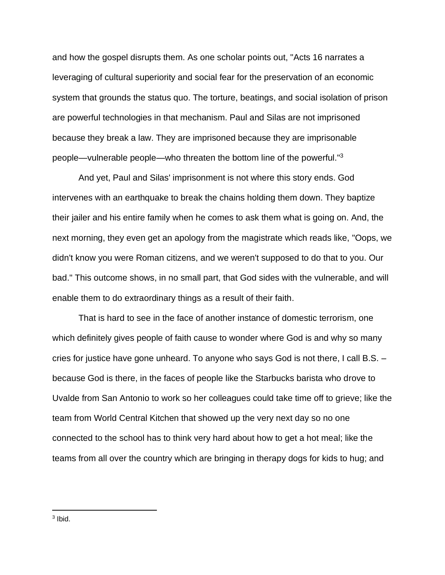and how the gospel disrupts them. As one scholar points out, "Acts 16 narrates a leveraging of cultural superiority and social fear for the preservation of an economic system that grounds the status quo. The torture, beatings, and social isolation of prison are powerful technologies in that mechanism. Paul and Silas are not imprisoned because they break a law. They are imprisoned because they are imprisonable people—vulnerable people—who threaten the bottom line of the powerful."<sup>3</sup>

And yet, Paul and Silas' imprisonment is not where this story ends. God intervenes with an earthquake to break the chains holding them down. They baptize their jailer and his entire family when he comes to ask them what is going on. And, the next morning, they even get an apology from the magistrate which reads like, "Oops, we didn't know you were Roman citizens, and we weren't supposed to do that to you. Our bad." This outcome shows, in no small part, that God sides with the vulnerable, and will enable them to do extraordinary things as a result of their faith.

That is hard to see in the face of another instance of domestic terrorism, one which definitely gives people of faith cause to wonder where God is and why so many cries for justice have gone unheard. To anyone who says God is not there, I call B.S. – because God is there, in the faces of people like the Starbucks barista who drove to Uvalde from San Antonio to work so her colleagues could take time off to grieve; like the team from World Central Kitchen that showed up the very next day so no one connected to the school has to think very hard about how to get a hot meal; like the teams from all over the country which are bringing in therapy dogs for kids to hug; and